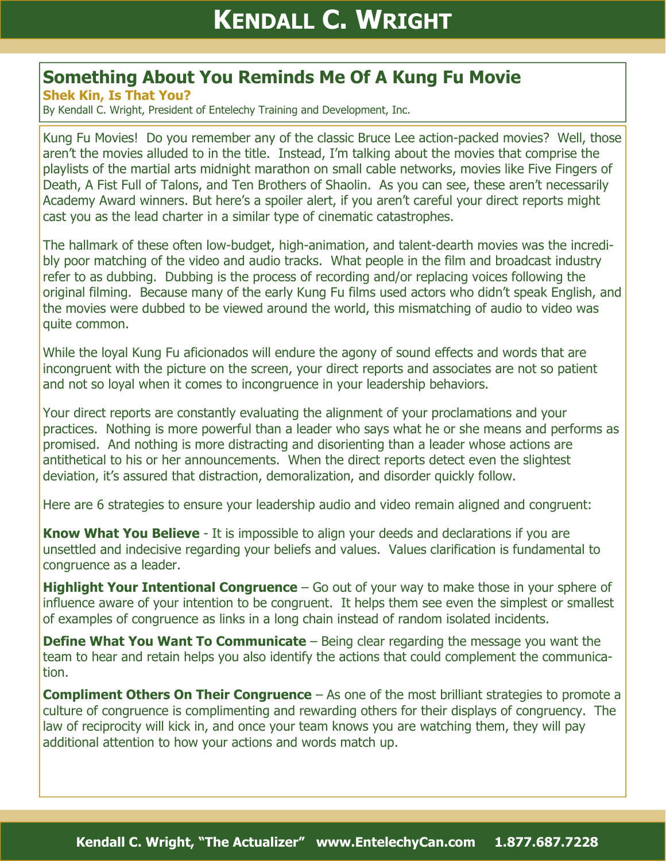## **Something About You Reminds Me Of A Kung Fu Movie**

**Shek Kin, Is That You?**

By Kendall C. Wright, President of Entelechy Training and Development, Inc.

Kung Fu Movies! Do you remember any of the classic Bruce Lee action-packed movies? Well, those aren't the movies alluded to in the title. Instead, I'm talking about the movies that comprise the playlists of the martial arts midnight marathon on small cable networks, movies like Five Fingers of Death, A Fist Full of Talons, and Ten Brothers of Shaolin. As you can see, these aren't necessarily Academy Award winners. But here's a spoiler alert, if you aren't careful your direct reports might cast you as the lead charter in a similar type of cinematic catastrophes.

The hallmark of these often low-budget, high-animation, and talent-dearth movies was the incredibly poor matching of the video and audio tracks. What people in the film and broadcast industry refer to as dubbing. Dubbing is the process of recording and/or replacing voices following the original filming. Because many of the early Kung Fu films used actors who didn't speak English, and the movies were dubbed to be viewed around the world, this mismatching of audio to video was quite common.

While the loyal Kung Fu aficionados will endure the agony of sound effects and words that are incongruent with the picture on the screen, your direct reports and associates are not so patient and not so loyal when it comes to incongruence in your leadership behaviors.

Your direct reports are constantly evaluating the alignment of your proclamations and your practices. Nothing is more powerful than a leader who says what he or she means and performs as promised. And nothing is more distracting and disorienting than a leader whose actions are antithetical to his or her announcements. When the direct reports detect even the slightest deviation, it's assured that distraction, demoralization, and disorder quickly follow.

Here are 6 strategies to ensure your leadership audio and video remain aligned and congruent:

**Know What You Believe** - It is impossible to align your deeds and declarations if you are unsettled and indecisive regarding your beliefs and values. Values clarification is fundamental to congruence as a leader.

**Highlight Your Intentional Congruence** – Go out of your way to make those in your sphere of influence aware of your intention to be congruent. It helps them see even the simplest or smallest of examples of congruence as links in a long chain instead of random isolated incidents.

**Define What You Want To Communicate** – Being clear regarding the message you want the team to hear and retain helps you also identify the actions that could complement the communication.

**Compliment Others On Their Congruence** – As one of the most brilliant strategies to promote a culture of congruence is complimenting and rewarding others for their displays of congruency. The law of reciprocity will kick in, and once your team knows you are watching them, they will pay additional attention to how your actions and words match up.